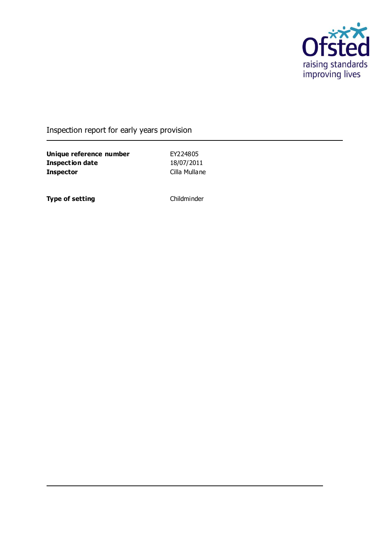

## Inspection report for early years provision

**Unique reference number** EY224805<br> **Inspection date** 18/07/2011 **Inspection date Inspector** Cilla Mullane

**Type of setting** Childminder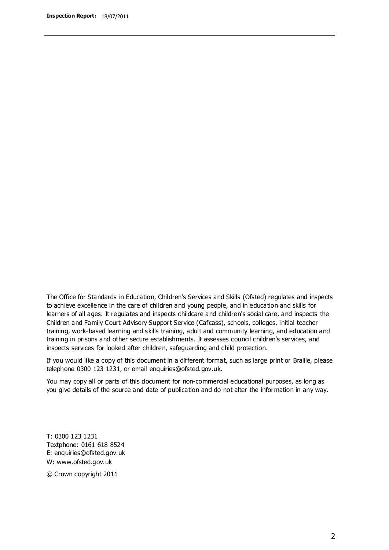The Office for Standards in Education, Children's Services and Skills (Ofsted) regulates and inspects to achieve excellence in the care of children and young people, and in education and skills for learners of all ages. It regulates and inspects childcare and children's social care, and inspects the Children and Family Court Advisory Support Service (Cafcass), schools, colleges, initial teacher training, work-based learning and skills training, adult and community learning, and education and training in prisons and other secure establishments. It assesses council children's services, and inspects services for looked after children, safeguarding and child protection.

If you would like a copy of this document in a different format, such as large print or Braille, please telephone 0300 123 1231, or email enquiries@ofsted.gov.uk.

You may copy all or parts of this document for non-commercial educational purposes, as long as you give details of the source and date of publication and do not alter the information in any way.

T: 0300 123 1231 Textphone: 0161 618 8524 E: enquiries@ofsted.gov.uk W: [www.ofsted.gov.uk](http://www.ofsted.gov.uk/)

© Crown copyright 2011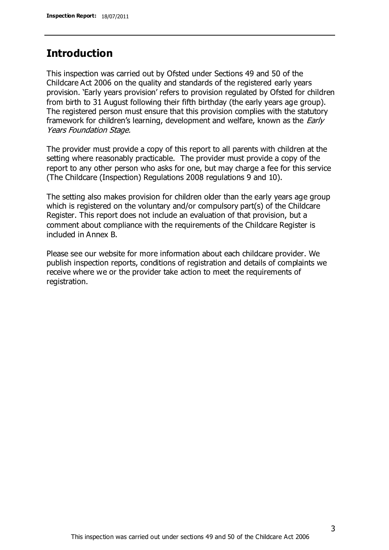### **Introduction**

This inspection was carried out by Ofsted under Sections 49 and 50 of the Childcare Act 2006 on the quality and standards of the registered early years provision. 'Early years provision' refers to provision regulated by Ofsted for children from birth to 31 August following their fifth birthday (the early years age group). The registered person must ensure that this provision complies with the statutory framework for children's learning, development and welfare, known as the *Early* Years Foundation Stage.

The provider must provide a copy of this report to all parents with children at the setting where reasonably practicable. The provider must provide a copy of the report to any other person who asks for one, but may charge a fee for this service (The Childcare (Inspection) Regulations 2008 regulations 9 and 10).

The setting also makes provision for children older than the early years age group which is registered on the voluntary and/or compulsory part(s) of the Childcare Register. This report does not include an evaluation of that provision, but a comment about compliance with the requirements of the Childcare Register is included in Annex B.

Please see our website for more information about each childcare provider. We publish inspection reports, conditions of registration and details of complaints we receive where we or the provider take action to meet the requirements of registration.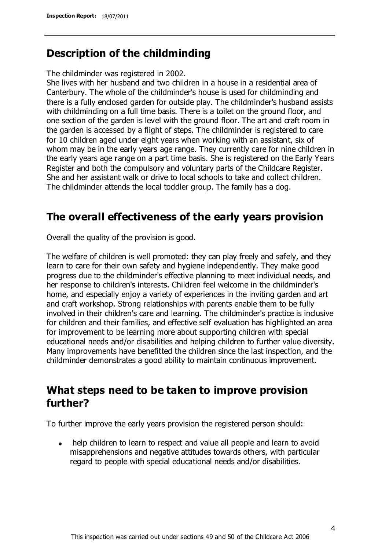## **Description of the childminding**

The childminder was registered in 2002.

She lives with her husband and two children in a house in a residential area of Canterbury. The whole of the childminder's house is used for childminding and there is a fully enclosed garden for outside play. The childminder's husband assists with childminding on a full time basis. There is a toilet on the ground floor, and one section of the garden is level with the ground floor. The art and craft room in the garden is accessed by a flight of steps. The childminder is registered to care for 10 children aged under eight years when working with an assistant, six of whom may be in the early years age range. They currently care for nine children in the early years age range on a part time basis. She is registered on the Early Years Register and both the compulsory and voluntary parts of the Childcare Register. She and her assistant walk or drive to local schools to take and collect children. The childminder attends the local toddler group. The family has a dog.

## **The overall effectiveness of the early years provision**

Overall the quality of the provision is good.

The welfare of children is well promoted: they can play freely and safely, and they learn to care for their own safety and hygiene independently. They make good progress due to the childminder's effective planning to meet individual needs, and her response to children's interests. Children feel welcome in the childminder's home, and especially enjoy a variety of experiences in the inviting garden and art and craft workshop. Strong relationships with parents enable them to be fully involved in their children's care and learning. The childminder's practice is inclusive for children and their families, and effective self evaluation has highlighted an area for improvement to be learning more about supporting children with special educational needs and/or disabilities and helping children to further value diversity. Many improvements have benefitted the children since the last inspection, and the childminder demonstrates a good ability to maintain continuous improvement.

# **What steps need to be taken to improve provision further?**

To further improve the early years provision the registered person should:

help children to learn to respect and value all people and learn to avoid  $\bullet$ misapprehensions and negative attitudes towards others, with particular regard to people with special educational needs and/or disabilities.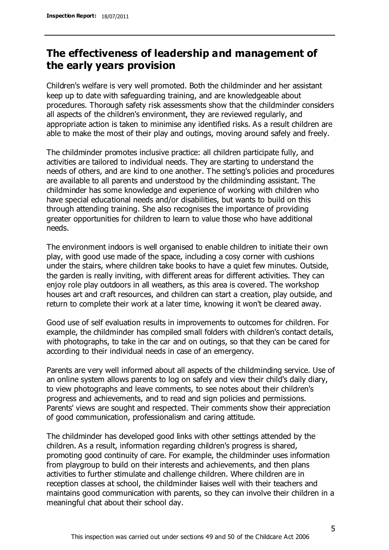# **The effectiveness of leadership and management of the early years provision**

Children's welfare is very well promoted. Both the childminder and her assistant keep up to date with safeguarding training, and are knowledgeable about procedures. Thorough safety risk assessments show that the childminder considers all aspects of the children's environment, they are reviewed regularly, and appropriate action is taken to minimise any identified risks. As a result children are able to make the most of their play and outings, moving around safely and freely.

The childminder promotes inclusive practice: all children participate fully, and activities are tailored to individual needs. They are starting to understand the needs of others, and are kind to one another. The setting's policies and procedures are available to all parents and understood by the childminding assistant. The childminder has some knowledge and experience of working with children who have special educational needs and/or disabilities, but wants to build on this through attending training. She also recognises the importance of providing greater opportunities for children to learn to value those who have additional needs.

The environment indoors is well organised to enable children to initiate their own play, with good use made of the space, including a cosy corner with cushions under the stairs, where children take books to have a quiet few minutes. Outside, the garden is really inviting, with different areas for different activities. They can enjoy role play outdoors in all weathers, as this area is covered. The workshop houses art and craft resources, and children can start a creation, play outside, and return to complete their work at a later time, knowing it won't be cleared away.

Good use of self evaluation results in improvements to outcomes for children. For example, the childminder has compiled small folders with children's contact details, with photographs, to take in the car and on outings, so that they can be cared for according to their individual needs in case of an emergency.

Parents are very well informed about all aspects of the childminding service. Use of an online system allows parents to log on safely and view their child's daily diary, to view photographs and leave comments, to see notes about their children's progress and achievements, and to read and sign policies and permissions. Parents' views are sought and respected. Their comments show their appreciation of good communication, professionalism and caring attitude.

The childminder has developed good links with other settings attended by the children. As a result, information regarding children's progress is shared, promoting good continuity of care. For example, the childminder uses information from playgroup to build on their interests and achievements, and then plans activities to further stimulate and challenge children. Where children are in reception classes at school, the childminder liaises well with their teachers and maintains good communication with parents, so they can involve their children in a meaningful chat about their school day.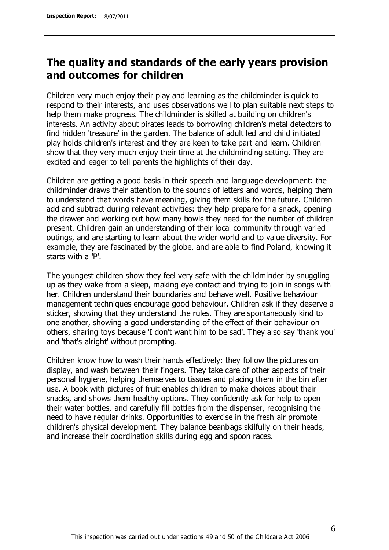# **The quality and standards of the early years provision and outcomes for children**

Children very much enjoy their play and learning as the childminder is quick to respond to their interests, and uses observations well to plan suitable next steps to help them make progress. The childminder is skilled at building on children's interests. An activity about pirates leads to borrowing children's metal detectors to find hidden 'treasure' in the garden. The balance of adult led and child initiated play holds children's interest and they are keen to take part and learn. Children show that they very much enjoy their time at the childminding setting. They are excited and eager to tell parents the highlights of their day.

Children are getting a good basis in their speech and language development: the childminder draws their attention to the sounds of letters and words, helping them to understand that words have meaning, giving them skills for the future. Children add and subtract during relevant activities: they help prepare for a snack, opening the drawer and working out how many bowls they need for the number of children present. Children gain an understanding of their local community through varied outings, and are starting to learn about the wider world and to value diversity. For example, they are fascinated by the globe, and are able to find Poland, knowing it starts with a 'P'.

The youngest children show they feel very safe with the childminder by snuggling up as they wake from a sleep, making eye contact and trying to join in songs with her. Children understand their boundaries and behave well. Positive behaviour management techniques encourage good behaviour. Children ask if they deserve a sticker, showing that they understand the rules. They are spontaneously kind to one another, showing a good understanding of the effect of their behaviour on others, sharing toys because 'I don't want him to be sad'. They also say 'thank you' and 'that's alright' without prompting.

Children know how to wash their hands effectively: they follow the pictures on display, and wash between their fingers. They take care of other aspects of their personal hygiene, helping themselves to tissues and placing them in the bin after use. A book with pictures of fruit enables children to make choices about their snacks, and shows them healthy options. They confidently ask for help to open their water bottles, and carefully fill bottles from the dispenser, recognising the need to have regular drinks. Opportunities to exercise in the fresh air promote children's physical development. They balance beanbags skilfully on their heads, and increase their coordination skills during egg and spoon races.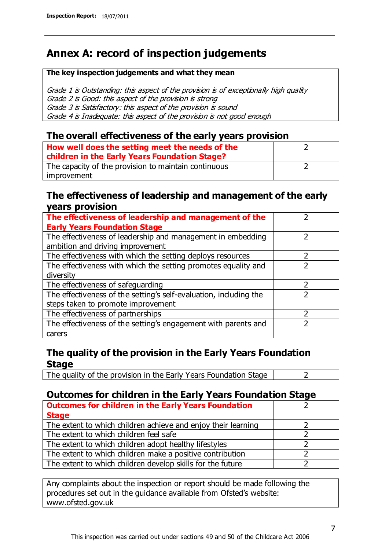# **Annex A: record of inspection judgements**

#### **The key inspection judgements and what they mean**

Grade 1 is Outstanding: this aspect of the provision is of exceptionally high quality Grade 2 is Good: this aspect of the provision is strong Grade 3 is Satisfactory: this aspect of the provision is sound Grade 4 is Inadequate: this aspect of the provision is not good enough

#### **The overall effectiveness of the early years provision**

| How well does the setting meet the needs of the<br>children in the Early Years Foundation Stage? |  |
|--------------------------------------------------------------------------------------------------|--|
| The capacity of the provision to maintain continuous                                             |  |
| improvement                                                                                      |  |

#### **The effectiveness of leadership and management of the early years provision**

| The effectiveness of leadership and management of the                                           |               |
|-------------------------------------------------------------------------------------------------|---------------|
| <b>Early Years Foundation Stage</b>                                                             |               |
| The effectiveness of leadership and management in embedding<br>ambition and driving improvement |               |
| The effectiveness with which the setting deploys resources                                      |               |
| The effectiveness with which the setting promotes equality and                                  |               |
| diversity                                                                                       |               |
| The effectiveness of safeguarding                                                               | $\mathcal{P}$ |
| The effectiveness of the setting's self-evaluation, including the                               | ว             |
| steps taken to promote improvement                                                              |               |
| The effectiveness of partnerships                                                               | っ             |
| The effectiveness of the setting's engagement with parents and                                  |               |
| carers                                                                                          |               |

### **The quality of the provision in the Early Years Foundation Stage**

The quality of the provision in the Early Years Foundation Stage  $\vert$  2

### **Outcomes for children in the Early Years Foundation Stage**

| <b>Outcomes for children in the Early Years Foundation</b>    |  |
|---------------------------------------------------------------|--|
| <b>Stage</b>                                                  |  |
| The extent to which children achieve and enjoy their learning |  |
| The extent to which children feel safe                        |  |
| The extent to which children adopt healthy lifestyles         |  |
| The extent to which children make a positive contribution     |  |
| The extent to which children develop skills for the future    |  |

Any complaints about the inspection or report should be made following the procedures set out in the guidance available from Ofsted's website: www.ofsted.gov.uk